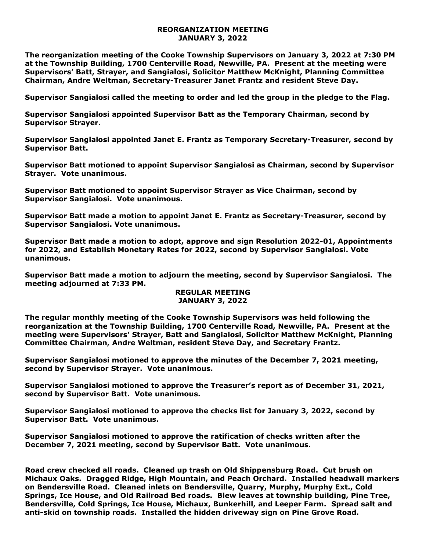## **REORGANIZATION MEETING JANUARY 3, 2022**

**The reorganization meeting of the Cooke Township Supervisors on January 3, 2022 at 7:30 PM at the Township Building, 1700 Centerville Road, Newville, PA. Present at the meeting were Supervisors' Batt, Strayer, and Sangialosi, Solicitor Matthew McKnight, Planning Committee Chairman, Andre Weltman, Secretary-Treasurer Janet Frantz and resident Steve Day.** 

**Supervisor Sangialosi called the meeting to order and led the group in the pledge to the Flag.** 

**Supervisor Sangialosi appointed Supervisor Batt as the Temporary Chairman, second by Supervisor Strayer.**

**Supervisor Sangialosi appointed Janet E. Frantz as Temporary Secretary-Treasurer, second by Supervisor Batt.** 

**Supervisor Batt motioned to appoint Supervisor Sangialosi as Chairman, second by Supervisor Strayer. Vote unanimous.**

**Supervisor Batt motioned to appoint Supervisor Strayer as Vice Chairman, second by Supervisor Sangialosi. Vote unanimous.**

**Supervisor Batt made a motion to appoint Janet E. Frantz as Secretary-Treasurer, second by Supervisor Sangialosi. Vote unanimous.**

**Supervisor Batt made a motion to adopt, approve and sign Resolution 2022-01, Appointments for 2022, and Establish Monetary Rates for 2022, second by Supervisor Sangialosi. Vote unanimous.**

**Supervisor Batt made a motion to adjourn the meeting, second by Supervisor Sangialosi. The meeting adjourned at 7:33 PM.** 

## **REGULAR MEETING JANUARY 3, 2022**

**The regular monthly meeting of the Cooke Township Supervisors was held following the reorganization at the Township Building, 1700 Centerville Road, Newville, PA. Present at the meeting were Supervisors' Strayer, Batt and Sangialosi, Solicitor Matthew McKnight, Planning Committee Chairman, Andre Weltman, resident Steve Day, and Secretary Frantz.**

**Supervisor Sangialosi motioned to approve the minutes of the December 7, 2021 meeting, second by Supervisor Strayer. Vote unanimous.** 

**Supervisor Sangialosi motioned to approve the Treasurer's report as of December 31, 2021, second by Supervisor Batt. Vote unanimous.**

**Supervisor Sangialosi motioned to approve the checks list for January 3, 2022, second by Supervisor Batt. Vote unanimous.**

**Supervisor Sangialosi motioned to approve the ratification of checks written after the December 7, 2021 meeting, second by Supervisor Batt. Vote unanimous.**

**Road crew checked all roads. Cleaned up trash on Old Shippensburg Road. Cut brush on Michaux Oaks. Dragged Ridge, High Mountain, and Peach Orchard. Installed headwall markers on Bendersville Road. Cleaned inlets on Bendersville, Quarry, Murphy, Murphy Ext., Cold Springs, Ice House, and Old Railroad Bed roads. Blew leaves at township building, Pine Tree, Bendersville, Cold Springs, Ice House, Michaux, Bunkerhill, and Leeper Farm. Spread salt and anti-skid on township roads. Installed the hidden driveway sign on Pine Grove Road.**